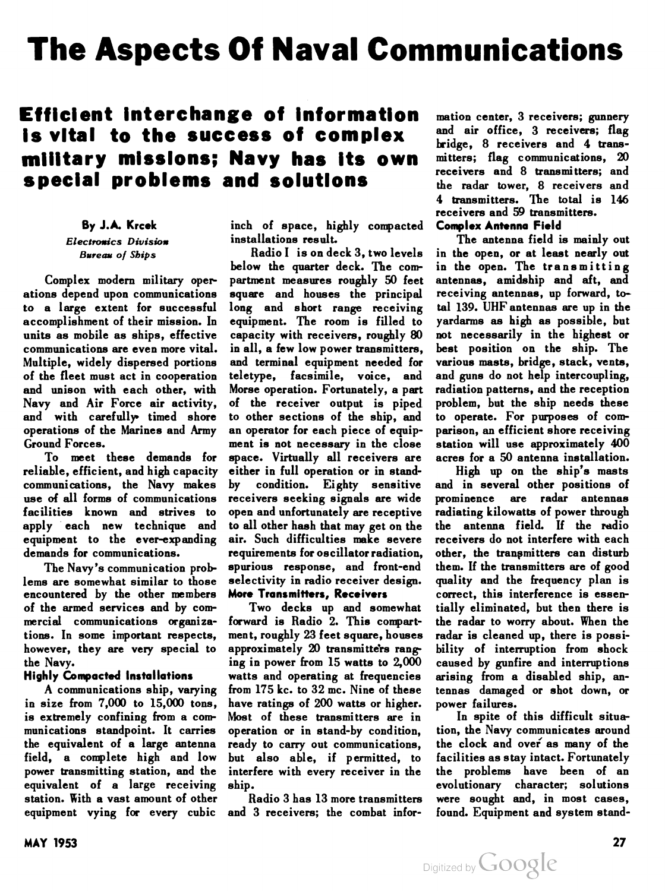# The Aspects Of Naval Communications

# Efficient interchange of information is vital to the success of complex military missions; Navy has its own special problems and solutions

# By J. A. Krcek

Electronics Division Bureau of Ships

Complex modern military oper ations depend upon communications to a large extent for successful accomplishment of their mission. In units as mobile as ships, effective communications are even more vital. Multiple, widely dispersed portions of the fleet must act in cooperation and unison with each other, with Navy and Air Force air activity, and with carefully timed shore operations of the Marines and Army Ground Forces.

To meet these demands for reliable, efficient, and high capacity communications, the Navy makes use of all forms of communications facilities known and strives to apply each new technique and equipment to the ever-expanding demands for communications.

The Navy's communication prob lems are somewhat similar to those encountered by the other members of the armed services and by com mercial communications organiza tions. In some important respects, however, they are very special to the Navy.

# Highly Compacted Installations

A communications ship, varying in size from 7,000 to 15,000 tons, is extremely confining from a com munications standpoint. It carries the equivalent of a large antenna field, a complete high and low power transmitting station, and the equivalent of a large receiving station. With a vast amount of other equipment vying for every cubic

inch of space, highly compacted installations result.

Radio <sup>I</sup> is on deck 3, two levels below the quarter deck. The com partment measures roughly 50 feet square and houses the principal long and short range receiving equipment. The room is filled to capacity with receivers, roughly 80 in all, a few low power transmitters, and terminal equipment needed for teletype, facsimile, voice, and Morse operation. Fortunately, a part of the receiver output is piped to other sections of the ship, and an operator for each piece of equip ment is not necessary in the close space. Virtually all receivers are either in full operation or in stand by condition. Eighty sensitive receivers seeking signals are wide open and unfortunately are receptive to all other hash that may get on the air. Such difficulties make severe requirements for oscillator radiation, spurious response, and front-end selectivity in radio receiver design. More Transmitters, Receivers

Two decks up and somewhat forward is Radio 2. This compart ment, roughly 23 feet square, houses approximately 20 transmitters ranging in power from 15 watts to 2,000 watts and operating at frequencies from 175 kc. to 32 mc. Nine of these have ratings of 200 watts or higher. Most of these transmitters are in operation or in stand-by condition, ready to carry out communications, but also able, if permitted, to interfere with every receiver in the ship.

Radio 3 has 13 more transmitters and 3 receivers; the combat infor

mation center, 3 receivers; gunnery and air office, 3 receivers; flag bridge, 8 receivers and 4 trans mitters; flag communications, 20 receivers and 8 transmitters; and the radar tower, 8 receivers and 4 transmitters. The total is 146 receivers and 59 transmitters. Complex Antenna Field

The antenna field is mainly out in the open, or at least nearly out in the open. The transmitting antennas, amidship and aft, and receiving antennas, up forward, to tal 139. UHF antennas are up in the yardarms as high as possible, but not necessarily in the highest or best position on the ship. The various masts, bridge, stack, vents, and guns do not help intercoupling, radiation patterns, and the reception problem, but the ship needs these to operate. For purposes of com parison, an efficient shore receiving station will use approximately 400 acres for a 50 antenna installation.

High up on the ship's masts and in several other positions of prominence are radar antennas radiating kilowatts of power through the antenna field. If the radio receivers do not interfere with each other, the transmitters can disturb them. If the transmitters are of good quality and the frequency plan is correct, this interference is essen tially eliminated, but then there is the radar to worry about. When the radar is cleaned up, there is possi bility of interruption from shock caused by gunfire and interruptions arising from a disabled ship, an tennas damaged or shot down, or power failures.

In spite of this difficult situa tion, the Navy communicates around the clock and over as many of the facilities as stay intact. Fortunately the problems have been of an evolutionary character; solutions were sought and, in most cases, found. Equipment and system stand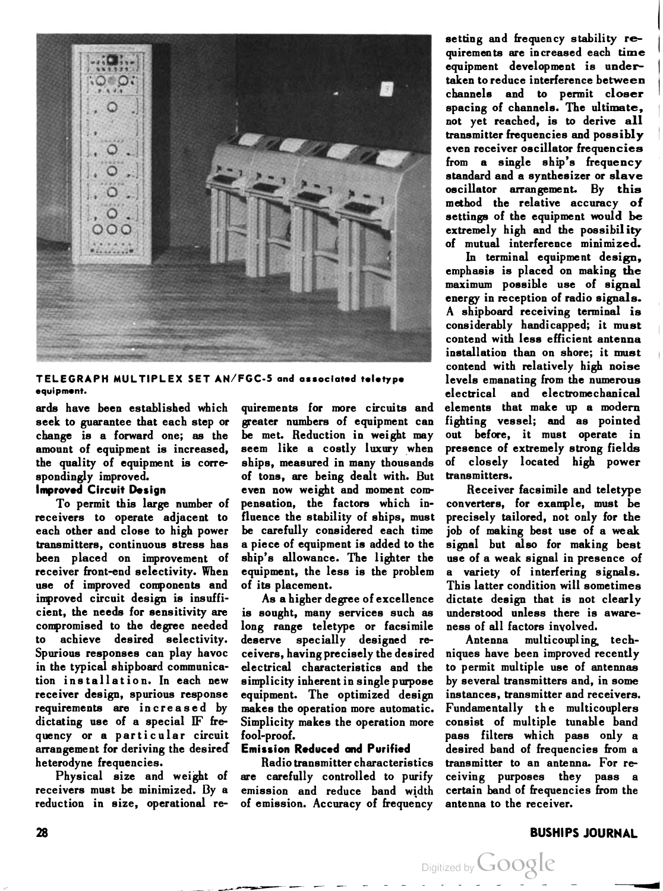

TELEGRAPH MULTIPLEX SET AN/FGC-5 and associated teletype equipment.

ards have been established which seek to guarantee that each step or change is a forward one; as the amount of equipment is increased, the quality of equipment is corre spondingly improved.

#### Improved Circuit Design

To permit this large number of receivers to operate adjacent to each other and close to high power transmitters, continuous stress has been placed on improvement of receiver front-end selectivity. When use of improved components and improved circuit design is insuffi cient, the needs for sensitivity are compromised to the degree needed to achieve desired selectivity. Spurious responses can play havoc in the typical shipboard communica tion installation. In each new receiver design, spurious response requirements are increased by dictating use of a special IF frequency or a particular circuit arrangement for deriving the desired\* heterodyne frequencies.

Physical size and weight of receivers must be minimized. By a reduction in size, operational re

quirements for more circuits and greater numbers of equipment can be met. Reduction in weight may seem like a costly luxury when ships, measured in many thousands of tons, are being dealt with. But even now weight and moment com pensation, the factors which in fluence the stability of ships, must be carefully considered each time a piece of equipment is added to the ship's allowance. The lighter the equipment, the less is the problem of its placement.

As a higher degree of excellence is sought, many services such as long range teletype or facsimile deserve specially designed re ceivers, having precisely the desired electrical characteristics and the simplicity inherent in single purpose equipment. The optimized design makes the operation more automatic. Simplicity makes the operation more fool-proof.

#### Emission Reduced and Purified

Radio transmitter characteristics are carefully controlled to purify emission and reduce band width of emission. Accuracy of frequency

setting and frequency stability requirements are increased each time equipment development is under taken to reduce interference between channels and to permit closer spacing of channels. The ultimate, not yet reached, is to derive all transmitter frequencies and possibly even receiver oscillator frequencies from a single ship's frequency standard and a synthesizer or slave oscillator arrangement. By this method the relative accuracy of settings of the equipment would be extremely high and the possibility of mutual interference minimized.

In terminal equipment design. emphasis is placed on making the maximum possible use of signal energy in reception of radio signals. A shipboard receiving terminal is considerably handicapped; it must contend with less efficient antenna installation than on shore; it must contend with relatively high noise levels emanating from the numerous electrical and electromechanical elements that make up a modern fighting vessel; and as pointed out before, it must operate in presence of extremely strong fields of closely located high power transmitters.

Receiver facsimile and teletype converters, for example, must be precisely tailored, not only for the job of making best use of a weak signal but also for making best use of a weak signal in presence of a variety of interfering signals. This latter condition will sometimes dictate design that is not clearly understood unless there is aware ness of all factors involved.

Antenna multicoupling techniques have been improved recently to permit multiple use of antennas by several transmitters and, in some instances, transmitter and receivers. Fundamentally the multicouplers consist of multiple tunable band pass filters which pass only a desired band of frequencies from a transmitter to an antenna. For re ceiving purposes they pass a certain band of frequencies from the antenna to the receiver.

Digitized by **Google** 

#### 28 BUSHIPS JOURNAL